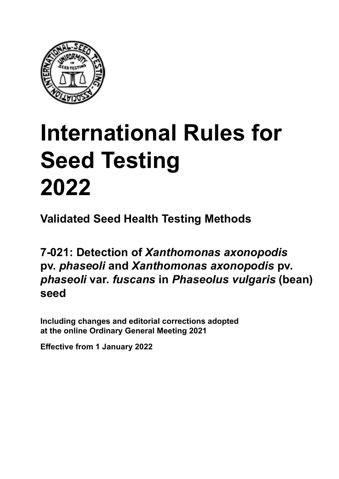

# **International Rules for Seed Testing von Saatgut 2022 2022 Semences 2022 International Rules for Seed Testing 2022**

**Métodos Validados para Análisis de Sanidad de Semillas Validate Méthodes Validées pour Analyse Sanitaire des Semences Validated Seed Health Testing Methods**

7-021: Detection of *Xanthomonas axonopodis* pv. *phaseoli* and *Xanthomonas axonopodis* pv. *phaseoli* var. *fuscans* in *Phaseolus vulgaris* (bean) **(frijol)** *vulgaris* **(Bohne) (haricot) seed**

Including changes and editorial corrections adopted at the online Ordinary General Meeting 2021

**Effective from 1 January 2022**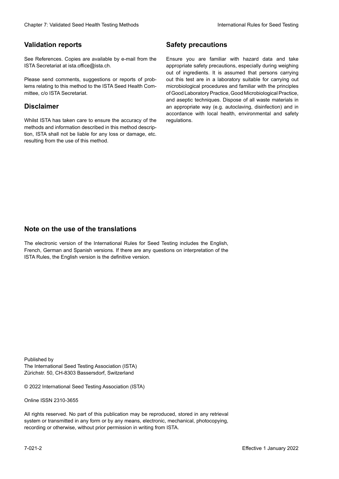### **Validation reports**

See References. Copies are available by e-mail from the<br>ISTA Secretariat at ista.office@ista.ch. ISTA Secretariat at ista.office@ista.ch.

lems relating to this method to the ISTA Seed Health Com-<br>mittee, c/o ISTA Secretariat. mittee, c/o ISTA Secretariat.<br>i Please send comments, suggestions or reports of prob-

## **Limitation de responsabilité Disclaimer**

Whilst ISTA has taken care to ensure the accuracy of the<br>methods and information described in this method description, ISTA shall not be liable for any loss or damage, etc.<br>resulting from the use of this method.<br>. resulting from the use of this method. Whilst ISTA has taken care to ensure the accuracy of the methods and information described in this method descrip-<br>tion, ISTA shall not be liable for any loss or damage, etc. tion, ISTA shall not be liable for any loss or damage, etc.<br>resulting from the use of this method.

## **Medidas de seguridad Sicherheitsmaßnahmen Sécurité Safety precautions**

Ensure you are familiar with hazard data and take Ensure you are familiar with hazard data and take<br>appropriate safety precautions, especially during weighing out of ingredients. It is assumed that persons carrying out this test are in a laboratory suitable for carrying out microbiological procedures and familiar with the principles of Good Laboratory Practice, Good Microbiological Practice, and aseptic techniques. Dispose of all waste materials in an appropriate way (e.g. autoclaving, disinfection) and in accordance with local health, environmental and safety regulations. Glade 7: Validated Deed Health Testing holes by Safety precentions<br>
Validation reports<br>
On Reference, Cusine are analisie by e-rust force in Europe you are "antiler edit based date and since<br>
Since Research at the CN-Searc microbiological procedures and familiar with the principles<br>of Good Laboratory Practice, Good Microbiological Practice,<br>and aseptic techniques. Dispose of all waste materials in<br>an appropriate way (e.g. autoclaving, disinf fallstoffe sind auf geeignete Weise und entsprechend der vor Ort über und Umwelt-<br>Sicherheits- und Umwelt- und Umwelt-Effective Counter of Nicholas Devel Teach Teach Teach Devel Safety precedutions<br>
Validation reports<br>
Safety precedution reports and the symbol state of the sementic of the symbol state of the based delay and share<br>
Propose of Good Laboratory Practice, Good Microbiological Practice,<br>and aseptic techniques. Dispose of all waste materials in<br>an appropriate way (e.g. autoclaving, disinfection) and in Validation reports<br>
Since The Texture 1988 and the system of the Since Theorem and the Since Theorem and the system of the Since The Since The Since The Since The Since The Since The Since The Since The Since The Since The Ensure you are familiar with hazard data and take<br>appropriate safety precautions, especially during weighing<br>out of ingredients. It is assumed that persons carrying<br>out this test are in a laboratory suitable for carrying o

## **Nota sobre el uso de traducciones Anmerkung zur Benutzung der Übersetzungen Note on the use of the translations**

The electronic version of the International Rules for Seed Testing includes the English, French, German and Spanish versions. If there are any questions on interpretation of the ISTA Rules, the English version is the definitive version. The electronic version of the International Rules for Seed Testing includes the English,<br>French, German and Spanish versions. If there are any questions on interpretation of the<br>ISTA Rules, the English version is the defin The electronic version of the International Rules for Seed Testing includes the English,<br>French, German and Spanish versions. If there are any questions on interpretation of the

Published by **Extending Association (ISTA)** The International Seed Testing Association (ISTA) Zürichstr. 50, CH-8303 Bassersdorf, Switzerland

© 2022 International Seed Testing Association (ISTA)

Alle Rechte vorbehalten. Kein Teil dieses Werkes darf in irgendwelcher Form oder durch Online ISSN 2310-3655

All rights reserved. No part of this publication may be reproduced, stored in any retrieval All rights reserved. No part of this publication may be reproduced, stored in any retrieval<br>system or transmitted in any form or by any means, electronic, mechanical, photocopying,<br>recording or otherwise, without prior per recording or otherwise, without prior permis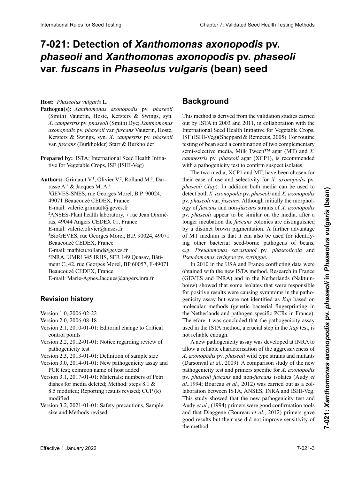# 7-021: Detection of *Xanthomonas axonopodis* pv. phaseoli and *Xanthomonas axonopodis* pv. *phaseoli* var. *fuscans* in *Phaseolus vulgaris* (bean) seed

**Hospedante:** *Phaseolus vulgaris* L. **Wirtspflanze:** *Phaseolus vulgaris* L. **Hôte :** *Phaseolus vulgaris* L. **Host:** *Phaseolus vulgaris* L.

- **Pathogen(s):** Xanthomonas axonopodis pv. phaseoli<br>(Smith) Vauterin, Hoste, Kersters & Swings, syn.<br>X. campestris pv. phaseoli (Smith) Dye; Xanthomonas<br>axonopodis pv. phaseoli var. fuscans Vauterin, Hoste,<br>Kersters & Swing (Smith) Vauterin, Hoste, Kersters & Swings, syn.<br>  $Y$  campastris by phaseoli (Smith) Dye: Yanthomonas *campestris* pv. *phaseoli* (Smith) Dye; *Xanthomonas X*. *campestris* pv. *phaseoli* (Smith) Dye; *Xanthomonas axonopodis* pv. *phaseoli* var. *fuscans* Vauterin, Hoste, Dye; *Xanthomonas axonopodis* pv. *phaseoli* var. *axonopodis* pv. *phaseoli* var. *fuscans* Vauterin, Hoste, Kersters & Swings, syn. *X*. *campestris* pv. *phaseoli* var. *fuscans* Vauterin, Hoste, Kersters & Swings, syn. *X*. Kersters & Swings, syn. *X*. *campestris* pv. *phaseoli fuscans* (Burkholder) Starr & Burkholder *campestris* pv. *phaseoli* var. *fuscans* (Burkholder) Starr van. Justuns (1 *var*. *fuscans* (Burkholder) Starr & Burkholder var. *fuscans* (Burkholder) Starr & Burkholder
- **Preparado por:** ISTA; International Seed Health Initiati-**Example Crops, ISTA, International Seed Health Initia**tive for Vegetable Crops, ISF (ISHI-Veg) **Preparé par :** ISTA ; International Seed Health Initiative **Prepared by:** ISTA; International Seed Health Initia-

 $\overline{A}$  ,  $\overline{A}$  ,  $\overline{A}$  ,  $\overline{A}$  ,  $\overline{A}$  ,  $\overline{A}$  ,  $\overline{A}$  ,  $\overline{A}$  ,  $\overline{A}$  ,  $\overline{A}$  ,  $\overline{A}$  ,  $\overline{A}$  ,  $\overline{A}$  ,  $\overline{A}$  ,  $\overline{A}$  ,  $\overline{A}$  ,  $\overline{A}$  ,  $\overline{A}$  ,  $\overline{A}$  ,  $\overline{A}$  , Authors: Grimault V.<sup>2</sup>, Olivier V.<sup>2</sup>, Rolland M.<sup>3</sup>, Darrasse A.<sup>4</sup> & Jacques M. A.<sup>4</sup> <sup>1</sup>GEVES-SNES, rue Georges Morel, B.P. 90024, 49071 Beaucouzé CEDEX, France E-mail: valerie.grimault@geves.fr <sup>2</sup>ANSES-Plant health laboratory, 7 rue Jean Dixméras, 49044 Angers CEDEX 01, France E-mail: valerie.olivier@anses.fr <sup>3</sup>BioGEVES, rue Georges Morel, B.P. 90024, 49071 Beaucouzé CEDEX, France E-mail: mathieu.rolland@geves.fr <sup>4</sup>INRA, UMR1345 IRHS, SFR 149 Quasav, Bâtiment C, 42, rue Georges Morel, BP 60057, F-49071 Beaucouzé CEDEX, France E-mail: Marie-Agnes.Jacques@angers.inra.fr E-mail: Marie-Agnes.Jacques@angers.inra.fr **Auteurs :** Grimault V.1 , Olivier V.2 , Rolland M.3 , Dar-Authors: Grimault V.<sup>1</sup>, Olivier V.<sup>2</sup>, Rolland M.<sup>3</sup>, Dar-International Rule International Rule Chapter Company Chapter 2: Validated Seed Testing Chapter 2: **Chapter 2: Validated Seed Testing Chapter 2: Validated Seed Testing Chapter 2: Validated Seed Testing Chapter 2: Validate** 

#### Versión 1.0, 2006-02-22 **Revision history**

- Version 1.0, 2006-02-22<br>Version 2.0, 2006-08-18
- Version 2.0, 2006-08-18
- $\frac{1}{2010}$  de control  $\frac{1}{2010}$  $\epsilon$   $\epsilon$  $Version 2.1, 2010-01-01$ : Editorial change to Critical  $\text{control points}$ Version 1.0, 2006-02-22<br>Version 2.0, 2006-08-18<br>Version 2.1, 2010-01-01: Editorial change to Critical Version 2.1, 2010-01-01: Editorial change to Critical<br>
control points control points
- $\frac{1}{2}$  prusba de patogenicidad de patogenicidad de patogenicidad de patogenicidad de patogenicidad de patogenicidad de patogenicia de patogenicidad de patogenicidad de patogenicia de patogenicia de patogenicia de patog Versión 2.2, 2012-01-01: Definición de la también de la también de la también de la también de la también de l Version  $2.2, 2012, 01.01$ : Notice recepting review of Version 3.0, 2014-01-01: Neuer Pathogenitätstest révision du pouvoir patrons du pouvoir patrons du pouvoir par la pouvoir par la pouvoir par la provincia de la<br>Décembre du pouvoir par la pouvoir par la pouvoir par la pouvoir de la pouvoir de la pouvoir de la pouvoir le Version 2.2, 2012-01-01: Notice regarding review of<br>
represented that pathogenicity test
- paint person 2.3, 2013-01-01: Definition of sample size
- Versión 2.9, 2019-01-01: Deminion of sample size  $\sum_{i=1}^{\infty}$  and  $\sum_{i=1}^{\infty}$  and  $\sum_{i=1}^{\infty}$  eliminately assay all  $\frac{1}{2}$  $\frac{1}{2}$ , 20 version 3.0,  $2017-01$ : Two painogenicity assay and<br> $PCD$ len kst, common hanne of host added  $\frac{1}{\sqrt{N}}$ . Separation  $\frac{3.1 \times 0.17}{N}$  and  $\frac{3.1 \times 0.17}{N}$  and  $\frac{3.1 \times 0.17}{N}$  and  $\frac{3.1 \times 0.17}{N}$  and  $\frac{3.1 \times 0.17}{N}$  and  $\frac{3.1 \times 0.17}{N}$  and  $\frac{3.1 \times 0.17}{N}$  and Version 2.9, 2019-01-01. Demntion of sample size Version 3.0, 2014-01-01: New pathogenicity assay and  $R = 1 + \frac{1}{2}$ T CK (CSI, COMMON HAME OF HOST added PCR test; common name of host added
- Versión 3.1, 2017-01-01. Materials: húmoris of 1 european dishes for media deleted; Method: steps 8.1 & 8.5 modified; Reporting results revised; CCP  $(k)$ modified<br>modified  $8.5$  uberarbeitetet in Berling der Ergebnisse  $\frac{1}{2}$ modified Version 3.1, 2017-01-01: Materials: numbers of Petri
- versión 3.2, 2021-01-01: Safety precautions, Sample size and Methods revised Version 3.2, 2021-01-01: Safety precautions, Sample

# **Background**

This method is derived from the validation studies carried<br>out by ISTA in 2003 and 2011 in collaboration with the out by ISTA in 2003 and 2011, in collaboration with the encey is firm from above and forty, in connectance with the International Seed Health Initiative for Vegetable Crops, meenanden seed Treatan Intuative for vegetasie erops,<br>ISF (ISHI-Veg) (Sheppard & Remeeus, 2005). For routine<br>testing of heap good a combination of two complements testing of bean seed a combination of two complementary binación de dos medias seus de dos mediantes de dos complementary<br>semi-selective media, Milk Tween™ agar (MT) and *X*. agar (MT) and A.<br>campestris pro *phaseolices* (MCD1) is generous and all campestris pv. *phaseoli* agar (XCP1), is recommended with a pathogenicity test to confirm suspect isolates. International Seed Health Initiative for Vegetable Crops,<br>ISF (ISHI-Veg)(Sheppard & Remeeus, 2005). For routine<br>testing of bean seed a combination of two complementary<br>semi-selective media, Milk Tween<sup>TM</sup> agar (MT) and X. ISF (ISHI-Veg)(Sheppard & Remeeus, 2005). For routine

The two media, XCP1 and MT, have been chosen for their ease of use and selectivity for *X. axonopodis* pv. phaseoli (Xap). In addition both media can be used to medios pueden ser usados para detectar ambos patógenos: *X. axonopodis* pv. *phaseoli* sondern auch für *X. axonopodis* pv. *phaseoli var. fuscans*. Although initially the morphology of *fuscans* and non-*fuscans* strains of *X. axonopodis* pv. *phaseoli* appear to be similar on the media, after a longer incubation the *fuscans*-colonies are distinguished by a distinct brown pigmentation. A further advantage of MT medium is that it can also be used for identifying other bacterial seed-borne pathogens of beans,<br>e.g. Pseudomonas savastanoi pv. phaseolicola and e.g. Pseudomonas savastanoi pv. phaseolicola and Pseudomonas syringae pv. syringae. *cherr ease of use and selectivity for X. axonopodis pv.*<br>*phaseoli (Xap).* In addition both media can be used to detect both X. axonopodis pv. *phaseoli* and X. axonopodis pv. *phaseoli* var. *fuscans.* Although initially ogy of *fuscans* and non-*fuscans* strains of *X. axonopodis*<br>pv. *phaseoli* appear to be similar on the media, after a<br>longer incubation the *fuscans* colonies are distinguished<br>by a distinct brown pigmentation. A further detect both *X. axonopodis* pv. *phaseoli* and *X. axonopodis* longer incubation the *fuscans* colonies are distinguished

In 2010 in the USA and France conflicting data were<br>obtained with the new ISTA method. Research in France obtained with the new ISTA method. Research in France (GEVES and INRA) and in the Netherlands (Naktuinbouw) showed that some isolates that were responsible for positive results were causing symptoms in the pathogenicity assay but were not identified as *Xap* based on<br>molecular methods (genetic bacterial fingerprinting in molecular methods (genetic bacterial fingerprinting in<br>the Netherlands and pathogen specific PCRs in France) the Netherlands and pathogen specific PCRs in France). Therefore it was concluded that the pathogenicity assay  $\frac{1}{2}$  and in the ISTA method a crucial step in the *Yan* test is  $\begin{pmatrix} 1 & P & P \end{pmatrix}$ bouw) showed that some isolates that were responsible<br>for positive results were causing symptoms in the patho-<br>genicity assay but were not identified as *Xan* based on used in the ISTA method, a crucial step in the  $Xap$  test, is for positive results were causing symptoms in the pathonot reliable enough.

 $\Lambda$  now pathogenicity assov was developed at IND  $\Lambda$  to la prueba de patogenicity assay was developped at INRA pour allow a reliable characterisation of the aggressiveness of X. axonopodis pv. phaseoli wild type strains and mutants  $\sum_{n=1}^{\infty}$  underlying properties  $\frac{1}{2}$  and  $\frac{1}{2}$  is the pathogenicidad of the fue desired pathogenicidad que fue desired  $\frac{1}{2}$ . pathogenicity test and primers specific for *X. axonopodis* put  $\frac{1}{2}$ painogeneity iest and princis specific for A. *axomopous*<br>pv. *phaseoli fuscans* and non-*fuscans* isolates (Audy *et al.*, 1994; Boureau *et al.*, 2012) was carried out as a collaboration between ISTA, ANSES, INRA and ISHI-Veg. at, 1994, Boureau et at., 2012) was carried out as a con-<br>laboration between ISTA, ANSES, INRA and ISHI-Veg.<br>This study showed that the new pathogenicity test and Audy *et al.*, (1994) primers were good confirmation tools and that Diaggene (Boureau *et al.*, 2012) primers gave good results but their use did not improve sensitivity of the method. not reliable enough.<br>A new pathogenicity assay was developed at INRA to<br>allow a reliable abanaterisation of the entresurement of Indian Britannich wird type strains and indiants  $($ Darsonvar et  $(u_i, 200)$ . A comparison study of the new raboration between 151A, ANSES, INKA and 1511-veg.<br>This study showed that the new pathogenicity test and<br>Audy *et al.*, (1994) primers were good confirmation tools<br>and that Diaggene (Boureau *et al.*, 2012) primers gave<br>g A new pathogène ity assay was developed at INRA to *axonopodis* pv. *phaseoli* (Darsonval *et al.*, 2009). Une (Darsonval *et al.*, 2009). A comparison study of the new Audy *et al.*, (1994) primers were good confirmation tools and that Diaggene (Boureau *et al.*, 2012) primers gave good results but their use did not improve sensitivity of and that Diaggene (Boureau *et al.*, 2012) primers gave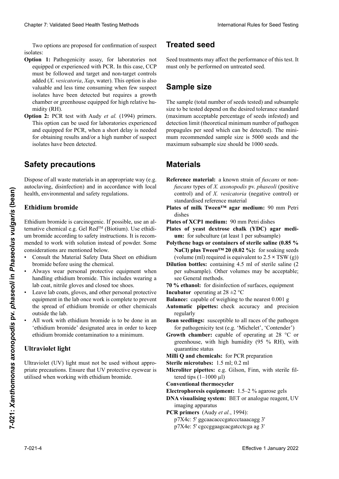Two options are proposed for confirmation of suspect isolates: isolates:

- **Option 1:** Pathogenicity assay, for laboratories not equipped or experienced with PCR. In this case, CCP<br>must be followed and target and non-target controls must be followed and target and non-target controls added (X. vesicatoria, Xap, water). This option is also<br>valuable and less time consuming when few suspect valuable and less time consuming when few suspect isolates have been detected but requires a growth<br>chamber or greenhouse equipped for high relative humidity (RH).<br>**Option 2:** PCR test with Audy *et al.* (1994) primers.<br>This option can be used for laboratories experienced chamber or greenhouse equipped for high relative hu- $\text{midity (RH)}$ . Clearlier 2. Validated Desir Hessin Ferica both Saatgut International Test is the specific of a representation of the specific system and the specific system and the specific system and the specific system and the specifi Chaos 7 Voldskei Seel Health Foring Madei Seel Health Foring Madei Seel Health Forms (See The Constraint Chaos Constraint Chaos Constraint Chaos Constraint Chaos Constraint Chaos Constraint Chaos Constraint Chaos Constrai added (*X. vesicatoria, Xap*, water). This option is also<br>valuable and less time consuming when few suspect<br>isolates have been detected but requires a growth<br>chamber or greenhouse equipped for high relative hu-<br>midity (RH) isolates have been detected but requires a growth
	- **Option 2:** PCR test with Audy *et al.* (1994) primers. This option can be used for laboratories experienced and equipped for DCD, when a chert delay is needed and equipped for  $\frac{1}{2}$  c., when a short delay is hecated for obtaining results and/or a high number of suspect for bounding research and or a high hannoer or suspect isolates have been detected. potatos na velocidamientos. **Option 2:** PCR Untersuchung mit Audy *et al.* (1994)-Pri-**Option 2:** PCR test with Audy *et al.* (1994) primers.<br>This option can be used for laboratories experienced<br>and equipped for PCR, when a short delay is needed<br>for obtaining results and/or a bigh number of suggest

#### stema de altres de la tempe de la tempe de la tempe de la tempe de la tempe de la tempe de la tempe de la temp<br>. **Opción 2:** Análisis de PCR con primers de Audy *et al*.,  $\mathbf{f}_{\mathbf{A}}$ tung equitione **Mesures de sécurité Safety precautions**

(1994). Esta opción puede ser utilizada por aquellos pose of all waste materials in an appropriate way (e.g. autoclaving, disinfection) and in accordance with local autoclaving, disinfection) and in accordance with local<br>health, environmental and safety regulations.  $\frac{1}{2}$ rung verfügen und Ergebnisse in kurzer  $\frac{1}{2}$ Dispose of all waste materials in an appropriate way (e.g.

#### y/o se ha detectado un gran número de aislamientos nigium pro **Sicherheitsmaßnahmen Bromure d'éthidium Ethidium bromide**

ternative chemical e.g. Gel Red<sup>™</sup> (Biotium). Use ethidimended to work with solution instead of powder. Some considerations are mentioned below. considerations are mentioned below. Ethidium bromide is carcinogenic. If possible, use an alum bromide according to safety instructions. It is recom-Examplemental and safety regulations.<br> **Effective 1**  $\frac{1}{2}$  **Controlling to the Controlling Controlling (Controlling Controlling 2022**<br> **Phaseological Effective 1 January 2022**<br> **Phaseological Effective 1 January 2022** 

- considerations are mentioned below.<br>• Consult the Material Safety Data Sheet on ethidium bromide before using the chemical. • Consult the Material Safety Data Sheet on ethidium bromide before using the chemical.
- handling ethidium bromide. This includes wearing a • Always wear personal protective equipment when lab coat, nitrile gloves and closed toe shoes.
- Leave lab coats, gloves, and other personal protective<br>equipment in the lab once work is complete to prevent equipment in the lab once work is complete to prevent the spread of ethidium bromide or other chemicals<br>outside the lab outside the lab.
- All work with ethidium bromide is to be done in an 'ethidium bromide' designated area in order to keep  $\epsilon$  ethidium bromide contamination to a minimum ethidium bromide contamination to a minimum.

#### **Ultraviolet light** nipula el bromuro de etidio. Esto incluye usar guardaandere personer dium» afin de réduire au minimum la contamination au

Ultraviolet (UV) light must not be used without appro- $\frac{1}{2}$  behaviored (b) if  $\frac{1}{2}$  if  $\frac{1}{2}$  and  $\frac{1}{2}$  if  $\frac{1}{2}$  if  $\frac{1}{2}$  if  $\frac{1}{2}$  if  $\frac{1}{2}$  if  $\frac{1}{2}$  if  $\frac{1}{2}$  if  $\frac{1}{2}$  if  $\frac{1}{2}$  if  $\frac{1}{2}$  if  $\frac{1}{2}$  if  $\frac{1}{2}$  if  $\frac{1}{2}$  tecque personal en el laboratorio una vez que el trabautilised when working with ethidium bromide.  $\alpha$  aviolet ( $\alpha$  v) light must not be used while  $\alpha$ priate precautions. Ensure that UV protective eyewear is<br>will reduce we shall in this line house it.

# **Treated seed**

Seed treatments may affect the performance of this test. It must only be performed on untreated seed. **Behandeltes (gebeiztes) Saatgut**

#### **Semiple Since**  $Sample\ size$ thode beeinflussen. Die Untersuchung darf nur an unbe-**Taillet de l'antique de l'antique de l'antique de l'antique de l'antique de l'antique de l'antique de l'antique de l'antique de l'antique de l'antique de l'antique de l'antique de l'antique de l'antique de l'antique de l'**

size to be tested depend on the desired tolerance standard (maximum acceptable percentage of seeds infested) and<br>detection limit (theoretical minimum number of pathogen) propagules per seed which can be detected). The mini-<br>mum recommended sample size is 5000 seeds and the maximum suosampre size snoura oe 1000 seeds. The sample (total number of seeds tested) and subsample **Probengröße** detection limit (theoretical minimum number of pathogen prüften Sample sige der Teilprobe seems und die maximum subsample size should be 1000 seeds and the maximum subsample size should be 1000 seeds. acceptable mini-(infestées) infinite de la limite de la propagules per seed which can be detected). The mini-

#### **tolerancia estándar deseada (porcentaje máximo aceptable máximo aceptable máximo aceptable máximo aceptable máximo aceptable máximo aceptable máximo aceptable máximo aceptable máximo aceptable máximo aceptable máximo acep**  $\overline{\phantom{a}}$  independent de detección (números) y de detector (números) y de detector (números) y de zentsatz der Nachweisen Samen<br>Samen Samen, die nachweisen Einheiten Einheiten pro Samen, die nachgewiesen Einheiten pro Samen, die nachgewi<br>Samen, die emp--mences et la taille maximum des sous-échantillons devrait être de 1000 semences.

- mínimo teórico de propágulos del patógeno que puede ser **Reference material:** a known strain of *fuscans* or nonfuscans types of *X. axonopodis* pv. *phaseoli* (positive control) and of *X. vesicatoria* (negative control) or **Material**<br> **axonomic function**<br> **axonomic function**
- dishes **Reference** Stamm für **function**  $\mathbf{R}$  function  $\mathbf{R}$  function  $\mathbf{R}$  function  $\mathbf{R}$  function  $\mathbf{R}$  function  $\mathbf{R}$  function  $\mathbf{R}$  function  $\mathbf{R}$  function  $\mathbf{R}$  function  $\mathbf{R}$  function  $\mathbf{R}$  Plates of milk Tween<sup>™</sup> agar medium: 90 mm Petri  $\theta$  de référence standardisée. In the référence standardisée standardisée standardisée standardisée. In the référence standardisée standardisée standardisée standardisée standardisée standardisée standardisée standardisé
- **Plates of XCP1 medium:** 90 mm Petri dishes
- Plates of yeast dextrose chalk (YDC) agar medi**um:** for subculture (at least 1 per subsample)
- Polythene bags or containers of sterile saline (0.85 % Polythene bags or containers of sterile saline (0.85 % NaCl) plus Tween<sup>™</sup> 20 (0.02 %): for soaking seeds (volume (ml) required is equivalent to  $2.5 \times TSW$  (g))
- (volume (ml) required is equivalent to  $2.5 \times TSW(g)$ )<br>Dilution bottles: containing 4.5 ml of sterile saline (2) per subsample). Other volumes may be acceptable; see General methods.
- **70 % ethanol:** for disinfection of surfaces, equipment
- **Incubator** operating at 28 ±2 °C
- Balance: capable of weighing to the nearest 0.001 g
- Automatic pipettes: check accuracy and precision regularly **include a 2008**
- Bean seedlings: susceptible to all races of the pathogen for pathogenicity test (e.g. 'Michelet', 'Contender')
- Growth chamber: capable of operating at 28 °C or **EXAMPLE PERSONS SUPERFICIER 12 CONCLUSION**  $\mathbf{F} = \mathbf{F} \cdot \mathbf{F}$ greenheuse, which greenhouse, with high humidity (95 % RH), with
- **Inducedent and States**<br>**Milli Q and chemicals:** for PCR preparation
- **Brinninger and chambre des Krank-Bohnen des Krank-Bohnen des Krank-Bohnen des Krank-Bohnen des Krank-Bohnen des Krank-Bohnen des Krank-Bohnen des Krank-Bohnen des Krank-Bohnen des Krank-Bohnen des Krank-Bohnen des Krank-B**
- **Pierre mérodos:** 1.9 mi, 0.2 mi<br>Minulitas ainsttes: comp<sup>ri</sup>das autorista de la El Microliter pipettes: e.g. Gilson, Finn, with sterile fil-**Plantular Conventional thermocycler**  $\mu$ tered tips  $(1-1000 \mu l)$
- 
- togeno para la provincia de patogenicidad (ej. 'Michelet', 'Michelet', 'Michelet', 'Michelet', 'Michelet', 'Mi Conventional thermocycler<br>Electrophoresis equipment: 1.5–2 % agarose gels
- **DNA visualising system:** BET or analogue reagent, UV **Sterile Reaktionsgefährenden relativa (1,5 ml) y variatus**<br> **Sterile Reaktionsgefährende**n relativa (1,5 ml) y variative imaging apparatus
- **PCR primers** (Audy *et al.*, 1994):
- p7X4c: 5' ggcaacacccgatccctaaacagg 3'
- p7X4e: 5' cgccggaagcacgatcctcga ag 3'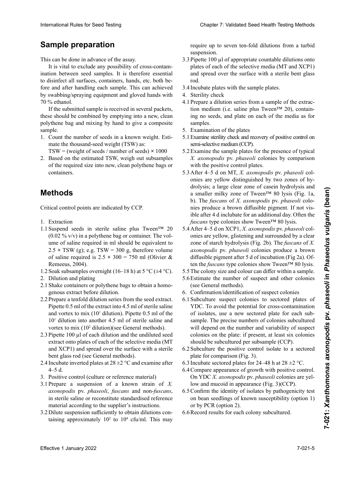# $\mathsf{Sample}\ \mathsf{preparation}\ \mathsf{S}$

This can be done in advance of the assay.

It is vital to exclude any possibility of cross-contamination between seed samples. It is therefore essential to disinfect all surfaces, containers, hands, etc. both before and after handling each sample. This can achieved by swabbing/spraying equipment and gloved hands with p7x4e: 5' cgc cgg aag cac gat cct cga ag 3' **Probenvorbereitung** 70 % ethanol.

**Preparate Should be combined by emptying mio a new, clean**<br>polythene has and mixing by hand to give a composite these should be combined by emptying into a new, clean samples og me muss ap neder is give a composite If the submitted sample is received in several packets, Ceci per letter fait available fait available. polythene bag and mixing by hand to give a composite sample sample.

1. Count the number of seeds in a known weight. Esti-<br>mate the thousand seed weight (TSW) as examente frame alle oberflächen, alle oberflächen, Behälter, Hände einzelnen Probe alle Oberflächen, Behälter, Hände in Probe alle Oberflächen, Behälter, Hände in Probe alle Oberflächen, Behälter, Hände in Probe alle Oberf

TSW = (weight of seeds / number of seeds)  $\times$  1000<br>2. Based as the activated TSW smith art relevantly  $\text{P}_{\text{new}}$  (weight of secas) number of secas). Todas las superficients of  $\text{TCW}_{\text{new}}$  and  $\text{new}$  $P_{\text{max}}$  are the extincted TGW results and material

 $\epsilon$ . Basca on the estimated TSW, weigh our subsamples or die required size into hew, crean porymene bags or<br>containers. to los equipos como los guantes de trabajo. En el segundo los guantes de trabajo de trabajo de trabajo. En el segundo los guantes de trabajo de trabajo de trabajo de trabajo de trabajo. En el segundo los guantes de trabajo 2. Based on the estimated TSW, weigh out subsamples  $\epsilon$ . Based on the estimated 15  $\alpha$ , weight out subsamples of the required size into new, clean polythene bags or Soumis est reçu en plusieurs paquets, recept recept requirements par plus in plus in plus in plus in plus in plusieurs par plus in plus in plus in plus in plus in plus in plus in plus in plus in plus in plus in plus in plu containers.

#### deben juntar en una nueva bolsa de polietileno limpia y luego mezclar manualmente para obtener una muestra muestra muestra muestra muestra muestra muestra muestra mues **Methods** ceux-ci devraient dans un nouveau sac polyéthyl<br>Notat dans un nouveau sac pour obtenir un échantillon composite.

compuesta. Critical control points are indicated by CCP. 1. Die Anzahl der Samen bei bekanntem Gesamtgewicht bestimmen. Berechnung des Tausendkorngewichtes

- 1. Extraction
- Suspend seeds in sterile saline plus Tween<sup>TM</sup> 20  $(0.02 \% \text{ v/v})$  in a polythene bag or container. The volume of saline required in ml should be equivalent to 2.5 × TSW (g); e.g. TSW = 300 g, therefore volume  $2.5 \times TSW$  (g); e.g.  $TSW = 30$ of saline required is  $2.5 \times 300 = 750$  ml (Olivier & Extraction<br>Suspend seeds in sterile saline plus Tween<sup>TM</sup> 20<br>(0.02 % v/v) in a polythene bag or container. The vol-1.1 Suspend seeds in sterile saline plus Tween<sup>TM</sup> 20 Remeeus, 2004).
- 1.2 Soak subsamples overnight (16–18 h) at 5 °C (±4 °C).
- 2. Dilution and plating
- 2.1 Shake containers or polythene bags to obtain a homogenous extract before dilution.
- 2.2 Prepare a tenfold dilution series from the seed extract. Pipette 0.5 ml of the extract into 4.5 ml of sterile saline and vortex to mix  $(10^1$  dilution). Pipette 0.5 ml of the<br> $10^1$  dilution into another 4.5 ml of sterile saline and  $10<sup>1</sup>$  dilution into another 4.5 ml of sterile saline and vortex to mix (10<sup>2</sup> dilution)(see General methods).<br>Pinette 100 ul of each dilution and the undiluted seed. Pipette 0.5 ml of the extract into 4.5 ml of sterile saline<br>and vortex to mix (10<sup>1</sup> dilution). Pipette 0.5 ml of the<br>10<sup>1</sup> dilution into another 4.5 ml of sterile saline and<br>vortex to mix (10<sup>2</sup> dilution)(see General met and vortex to mix  $(10<sup>1</sup>$  dilution). Pipette 0.5 ml of the
- 2.3 Pipette 100  $\mu$ l of each dilution and the undiluted seed extract onto plates of each of the selective media (MT<br>extract onto plates of each of the selective media (MT and XCP1) and spread over the surface with a sterile and AUTT) and spread over the sarrace with a sterne<br>bent glass rod (see General methods).
- $\sum_{t}$   $\sum_{t}$   $\sum_{t}$  $2.4 \text{ increase interval } \beta$ 2.1 Gründliches Schütteln des Plastikbeutels oder -behälthe term inverted plates at  $20 \pm 2$  C and examine after<br> $4\sqrt{5}$  d Sein glass fou (sec General methods). 2.4 Incubate inverted plates at  $28 \pm 2$  °C and examine after 4–5 d.
- $\tau$  agitar las muestras para obtener un extracto homogéeneo antes de la diagnosa de la diagnosa de la diagnosa de la diagnosa de la diagnosa de la diagnosa de la diagn<br>Dispués de la diagnosa de la diagnosa de la diagnosa de la diagnosa de la diagnosa de la diagnosa de la diagno 4–9 d.<br>3. Positive control (culture or reference material)  $2.1$  Herstellen einer dünnungsreihe Einer Indiction de semence de semences. Pipet de l'extrait de l'extrait de l'extrait de la production de la production de la p
- $2.1$  Prepare a suspension of a known strain of  $\Lambda$ . axonopodis pv. phaseoli, fuscans and non-fuscans, in sterile saline or reconstitute standardised reference material according to the supplier's instructions. In sterile same or reconstitute standardised reference<br>material according to the supplier's instructions.<br>3.2 Dilute suspension sufficiently to obtain dilutions con-Fiepare a suspension of a Known strain of  $A$ . 3.1 Prepare a suspension of a known strain of  $X$ . daxonopodas pv. phaseon, juscums and non-juscums,<br>in sterile saline or reconstitute standardised reference<br>material according to the supplier's instructions. in sterile saline or reconstitute standardised reference
- 3.2 Dilute suspension sufficiently to obtain dilutions containing approximately  $10^2$  to  $10^4$  cfu/ml. This may

require up to seven ten-fold dilutions from a turbid<br>suspension. the suspension.

- suspension.<br>3.3 Pipette 100  $\mu$ l of appropriate countable dilutions onto plates of each of the selective media (MT and XCP1)<br>and spread over the surface with a sterile bent glass and spread over the surface with a sterile bent glass  $\mathrm{rod.}$  $\mathop{\mathrm{rod}}\nolimits$  $\mathrm{rod.}$ rod.
- 3.4 Incubate plates with the sample plates.
- 3. Control positivo (cultivo o material de referencia) Positivkontrolle (Kultur oder Referenzmaterial) *axonopodis* pv. *phaseoli*, *fuscans* et non-*fuscans*, 4. Sterility check
- 4.1 Prepare a dilution series from a sample of the extraction medium (i.e. saline plus Tween<sup>TM</sup> 20), contain-<br>ing no seeds, and plate on each of the media as for  $\frac{1}{\ln a}$  no seeds and plate on each of the media as for cia estado, de adecuado a las instrucciones de adecuados de adecuados de adecuados de adecuados de a<br>Complex proveed and the state of the term and the standard and the samples.<br>
5. Examination of the plates  $\frac{1}{\pi}$  ing no seeds and plate on each of the media as for ing no seeds, and plate on each of the media as for<br>samples  $\frac{1}{\pi}$ samples.
- 
- $3.2$  Diamination of the pares diauthor such an approximation to positive content of 5.1 Examination of the parts<br>5.1 Examine sterility check and recovery of positive control on<br> $\frac{\text{const}}{\text{const}}$ bis 11 and 1028 semi-selective medium (CCP).
- $1040$  urbe requested requested. seriadas uno en diez a partir de una suspensión turbia. Turbia de una suspensión turbia. Turbia de una suspensión turbia. Turbia de una suspensión de una suspensión de una suspensión de una suspensión de una suspensión de 3. *axonopous* pv. *phaseou* colonies by comparison with the positive control plates. Examine stering encar and recovery or positive conformation<br>semi-selective medium (CCP).<br>Examine the sample plates for the presence of typical 2. axemplois pv. phaseon colonies by comparison<br>with the positive control plates.  $5.2$  Examine the sample plates for the presence of typical Examine the sample places for the presence of typical *X. axonopodis* pv. *phaseoli* colonies by comparison
- 5.3 After 4–5 d on MT, X. axonopodis pv. phaseoli colonies are yellow distinguished by two zones of hydrolysis; a large clear zone of casein hydrolysis and a smaller milky zone of Tween™ 80 lysis (Fig. 1a, b). The *fuscans* of *X. axonopodis* pv. *phaseoli* colonies produce a brown diffusible pigment. If not visible after 4 d inclubate for an additional day. Often the 1ble after 4 d inclubate for an additional day. Often the<br>*fuscans* type colonies show Tween™ 80 lysis. International Rule International Rule<br> **Sample (Pig Participa)** Chapter 2: Validated Seed Health Testing Chapter 2: Validated Seed Health Methods International Testing Rule and the Secondar Section 2: International Rules
	- fuscans type colonies show Tween<sup>1M</sup> 80 lysis.<br>5.4 After 4–5 d on XCP1, *X. axonopodis* pv. *phaseoli* colonies are yellow, glistening and surrounded by a clear onies are yellow, glistening and surrounded by a clear<br>zone of starch hydrolysis (Fig. 2b). The *fuscans* of *X*. zone of starch hydrolysis (Fig. 2b). The *fuscans* of *X*.<br>*axonopodis* pv. *phaseoli* colonies produce a brown diffusible pigment after 5 d of incubation (Fig 2a). Of-
	- ten the *fuscans* type colonies show Tween<sup>TM</sup> 80 lysis.<br>5.5 The colony size and colour can differ within a sample. 5.5 The colony size and colour can differ within a sample.
	- 5.6 Estimate the number of suspect and other colonies 5.3 Después de 4–5 días en MT, las colonias de *X.*  d'hydrolyse du Tween™ 80 (Fig. 1a, b). Les colonies (see General methods).
	- 6. Confirmation/identification of suspect colonies
	- Subculture suspect colonies to sectored plates of YDC. To avoid the potential for cross-contamination of isolates, use a new sectored plate for each subsample. The precise numbers of colonies subcultured will depend on the number and variability of suspect  $\frac{1}{\text{colories on the plate: if present at least six colonies.}$ tipo *fuscans* muestran lisis de Tween™ 80. verlängert. Häufig tritt bei *fuscans*-Isolaten auch eine should be subcultured per subsample (CCP). (see General methods).<br>Confirmation/identification of suspect colonies<br>Subculture suspect colonies to sectored plates of<br>YDC. To avoid the potential for cross-contamination<br>of isolates, use a new sectored plate for each su 6.1 Subculture suspect colonies to sectored plates of sample. The precise numbers of colonies subcultured<br>will depend on the number and variability of suspect<br>colonies on the plate: if present, at least six colonies<br>should be subsultured per subsemple (CCP).
	- $\frac{1}{2}$ . *x abovement x a <i>x positive* control *isolate* to *a section*ed 511011111 ou subcunum<br>Sylvantyna tha maait  $5.4$  Subtantine and positive control isome to a sectored *phonta ce succurarea per succuripre* (CCI). 6.2 Subculture the positive control isolate to a sectored  $\frac{1}{2}$ plate for comparison (Fig. 3).
	- y están rodeadas por una zona clara de hidrólisis de be und glänzende Kolonien von *X. axonopodis* pv. 6.3 Incubate sectored plates for  $24-48$  h at  $28 \pm 2$  °C.
	- almidón (Fig. 2b). Las colonias de *X. axonopodis* pv. 6.4 Compare appearance of growth with positive control. On YDC *X. axonopodis* pv. *phaseoli* colonies are yelon TDC A. *axonopous* by *phaseon* colonies are yer-<br>low and mucoid in appearance (Fig. 3)(CCP). *phaseoloici phaseoloici 2*  $\frac{1}{2}$   $\frac{1}{2}$   $\frac{1}{2}$   $\frac{1}{2}$   $\frac{1}{2}$   $\frac{1}{2}$   $\frac{1}{2}$   $\frac{1}{2}$   $\frac{1}{2}$
	- 6.5 Confirm the identity of isolates by pathogenicity test on bean seedlings of known susceptibility (option 1)<br>or by PCR (option 2). or by PCR (option 2).
	- 6.6 Record results for each colony subcultured.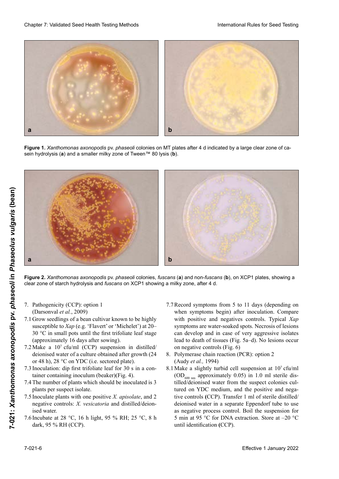

**Figure 1.** *Xanthomonas axonopodis* pv. *phaseoli* colonies on MT plates after 4 d indicated by a large clear zone of casein hydrolysis (**a**) and a smaller milky zone of Tween™ 80 lysis (**b**).



Figure 2. Xanthomonas axonopodis pv. phaseoli colonies, fuscans (a) and non-fuscans (b), on XCP1 plates, showing a clear zone of starch hydrolysis and *fuscans* on XCP1 showing a milky zone, after 4 d.

- 7. Pathogenicity (CCP): option 1 (Darsonval *et al.*, 2009)
- (Darsonval et al., 2009)<br>7.1 Grow seedlings of a bean cultivar known to be highly susceptible to *Xap* (e.g. 'Flavert' or 'Michelet') at 20– 30 °C in small pots until the first trifoliate leaf stage (approximately 16 days after sowing).
- 7.2 Make a  $10^7$  cfu/ml (CCP) suspension in distilled/<br>deionised water of a culture obtained after growth  $(24)$ deionised water of a culture obtained after growth (24 or 48 h), 28 °C on YDC (i.e. sectored plate).<br>  $\frac{73 \text{ Inoculation:}}{7 \cdot 3 \text{ Inoculation:}}$  din first trifoliate leaf for 30 s in a con-
- 7.3 Inoculation: dip first trifoliate leaf for  $30 \times \pi$  in a container containing inoculum (beaker)(Fig. 4).<br> $7.4$  The number of plants which should be inoculated is 3
- 7.4 The number of plants which should be inoculated is 3 For the number of plants which should be indeed and the plants per suspect isolate.
- plants per suspect isstate.<br>7.5 Inoculate plants with one positive *X. apisolate*, and 2 *X. axonopodis* pv. *phaseoli* son amarillas y de apariennegative controls. A. *Veste*r 6.3 Incolation primes with one positive 21, upworder, und 2 negative et<br>ised water. negative controls: *X. vesicatoria* and distilled/deion-
- $\frac{6.4 \times 10^{10}}{26.4 \times 10^{10}}$  between  $\frac{6.4 \times 10^{11}}{26.4 \times 10^{10}}$  between  $\frac{26.0 \times 10^{11}}{26.0 \times 10^{10}}$ tituding at 26 °C, 10 ii fight, 35 °O KH, 25 °C, 6 ii (Beta water)<br>2009 het al., 2009 7.6 Incubate at 28 °C, 16 h light, 95 % RH; 25 °C, 8 h dark, 95 % RH (CCP). dark, 95 % RH (CCP).
- Record symptoms from 5 to 11 days (depending on 7.7 Record symptoms from 5 to 11 days (depending on when symptoms begin) after inoculation. Compare with positive and negatives controls. Typical Xap symptoms are water-soaked spots. Necrosis of lesions can develop and in case of very aggressive isolates lead to death of tissues (Fig. 5a–d). No lesions occur<br>on negative controls (Fig. 6) on negative controls (Fig. 6)
- 8. Polymerase chain reaction (PCR): option 2 (Audy *et al.*, 1994)
- 8.1 Make a slightly turbid cell suspension at 107 cfu/ml  $\overline{\text{OD}_{600 \text{ nm}}}$  approximately 0.05) in 1.0 ml sterile distilled/dejonieed water from the suggest colonies cultilled/deionised water from the suspect colonies cul-<br>tilled/deionised water from the suspect colonies culmed derembed which from the barpore estends on<br>tured on YDC medium, and the positive and negarecet on 120 meanan, and are positive and negative controls **(CCP)**. Transfer 1 ml of sterile distilled/ deionised water in a separate Eppendorf tube to use as negative process control. Boil the suspension for<br>as negative process control. Boil the suspension for  $\int$ <sub>r</sub>  $\cdot$   $\cdot$   $\cdot$  $\sigma$  Initiative C for DIVA cataction. Store at  $\sim$  0 until identification **(CCP)**.  $\frac{7.6}{5}$  increased to  $\frac{28.6}{5}$  and  $\frac{28.6}{5}$  m. 5 min at 95 °C for DNA extraction. Store at –20 °C until identification (CCP).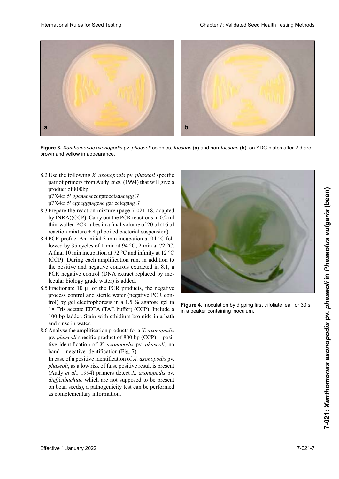

**Figure 3.** *Xanthomonas axonopodis* pv. *phaseoli* colonies, *fuscans* (**a**) and non-*fuscans* (**b**), on YDC plates after 2 d are brown and yellow in appearance.

8.2 Use the following *X. axonopodis* pv. *phaseoli* specific pair of primers from Audy *et al.* (1994) that will give a product of 800bp: product of 800bp:<br>p7X4c: 5' ggcaacacccgatccctaaacagg 3'<br>p7X4e: 5' cgccggaagcac gat cctcgaag 3'

p7X4c: 5' ggcaacacccgatecctaaacagg 3' p7X4e: 5' cgccggaagcac gat cctcgaag 3' p7X4c: 5' ggcaacacccgatccctaaacagg 3'

- 8.3 Prepare the reaction mixture (page 7-021-18, adapted<br>by INRA)(CCP). Carry out the PCR reactions in 0.2 ml by INRA)(CCP). Carry out the PCR reactions in 0.2 ml thin-walled PCR tubes in a final volume of 20  $\mu$ l (16  $\mu$ l reaction mixture + 4 µl boiled bacterial suspension).
- 8.4 PCR profile: An initial 3 min incubation at 94 °C followed by 35 cycles of 1 min at 94 °C, 2 min at 72 °C. A final 10 min incubation at 72 °C and infinity at 12 °C  $\text{CCCP}.$  During each amplification run, in addition to the positive and negative controls extracted in 8.1, a PCR negative control (DNA extract replaced by moext negative control (DIVI canada).<br>lecular biology grade water) is added.
- (Audy *et al*. 1994)  $\frac{8.5 \text{ T}}{200}$  ractionate to  $\mu_1$  of the text products, the negative process control and sterile water (negative PCR conbut of and sterile water (hegative 1 CK control) by gel electrophoresis in a 1.5 % agarose gel in 1× Tris acetate EDTA (TAE buffer) (CCP). Include a roo op ladder. Stain with ethidium oromide in a bath and rinse in water.<br>
<br>
<u>phaseological</u>  $\frac{8 \times 10^{-4} \text{ m}}{10^{-4} \text{ m}} = 10^{-4} \text{ m}$ riactionale 10  $\alpha$  acetate ED1A (TAE buller) (CCP). Include a  $\alpha$ 100 bp ladder. Stain with ethidium bromide in a bath  $\Gamma_{\text{tot}}$  (Transférence of the distribution of the distribution of the distribution of  $\Gamma_{\text{tot}}$  and  $\Gamma_{\text{tot}}$  and  $\Gamma_{\text{tot}}$ 8.5 Fractionate 10  $\mu$ l of the PCR products, the negative
- 8.6 Analyse the amplification products for a *X. axonopodis* pv. *phaseoli* specific product of 800 bp (CCP) = positive identification of *X. axonopodis* pv. *phaseoli*, no  $band = negative identification (Fig. 7).$

band = negative identification (Fig. 7).<br>In case of a positive identification of X. *axonopodis* pv. phaseoli, as a low risk of false positive result is present (Audy *et al.,* 1994) primers detect *X. axonopodis* pv. dieffenbachiae which are not supposed to be present on bean seeds), a pathogenicity test can be performed<br>as complementary information. as complementary information.



Figure 4. Inoculation by dipping first trifoliate leaf for 30 s in a beaker containing inoculum.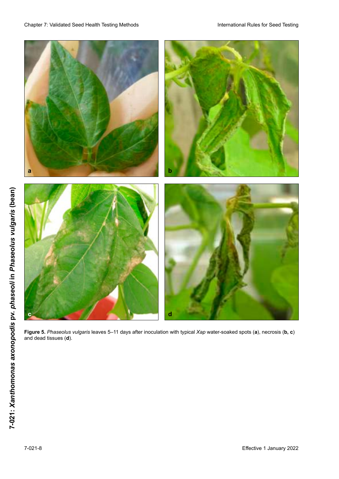

**Figure 5.** *Phaseolus vulgaris* leaves 5–11 days after inoculation with typical *Xap* water-soaked spots (**a**), necrosis (**b,** c and dead tissues (**d**). **Figure 5.** *Phaseolus vulgaris* leaves 5–11 days after inoculation with typical *Xap* water-soaked spots (**a**), necrosis (**b, c**) and dead tissues (**d**). **Figure 5.** *Phaseolus vulgaris* leaves 5–11 days after inoculation with typical *Xap* water-soaked spots (**a**), necrosis (**b, c**) and dead tissues (**d**). **Figure**  *Phaseolus vulgaris* leaves 5–11 days after inoculation with typical *Xap* water-soaked spots (**a**), necrosis (**b, c**) and dead tissues (**d**).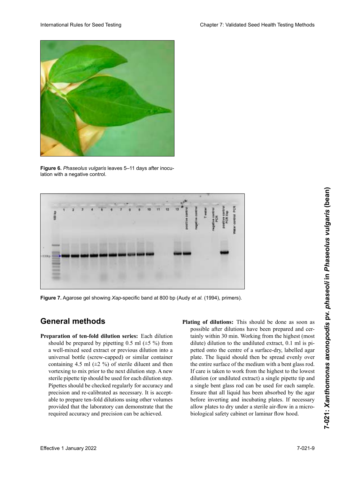

**Figure 6.** *Phaseolus vulgaris* leaves 5–11 days after inoculation with a negative control.



Figure 7. Agarose gel showing Xap-specific band at 800 bp (Audy et al. (1994), primers).

## **General methods**<br>Press of the Colombia and Colombia volúmento el laboratorio pueda de siempre y cuando el laboratorio pueda de el laboratorio pueda de la boratori<br>Decembre el laboratorio pueda de la boratorio pueda de la boratorio pueda de la boratorio pueda de la boratori

- mostrar que se mantienen la exactitud y la precisión Preparation of ten-fold dilution series: Each dilution a well-mixed seed extract or previous dilution into a universal bottle (screw-capped) or similar container containing 4.5 mi  $(\pm 2 \times 0)$  of sterile different and then vortexing to mix prior to the next dilution step. A new sterile pipette tip should be used for each dilution step. Pipettes should be checked regularly for accuracy and precision and re-calibrated as necessary. It is acceptable to prepare ten-fold dilutions using other volumes able to prepare ten-fold dilutions using other volumes<br>provided that the laboratory can demonstrate that the required accuracy and precision can be achieved. should be prepared by pipetting  $0.5$  ml  $(\pm 5\%)$  from universal bottle (screw-capped) or similar container<br>containing 4.5 ml ( $\pm 2$ %) of sterile diluent and then<br>vortexing to mix prior to the next dilution step. A new<br>sterile pipette tip should be used for each dilution ste containing 4.5 ml  $(\pm 2 \%)$  of sterile diluent and then
- Plating of dilutions: This should be done as soon as logischen die sterilarischen Sicherheitsarbeite der einer Sterilarpossible and diffusions have dilute) dilution to the undiluted extract, 0.1 ml is pipetted onto the centre of a surface-dry, labelled agar petted onto the centre of a surface-dry, labelled agar<br>plate. The liquid should then be spread evenly over the entire surface of the medium with a bent glass rod. If care is taken to work from the highest to the lowest the entire surface of the medium with a bent glass rod.<br>If care is taken to work from the highest to the lowest<br>dilution (or undiluted extract) a single pipette tip and a single bent glass rod can be used for each sample. a single bent glass rod can be used tor each sample.<br>Ensure that all liquid has been absorbed by the agar Ensure that all liquid has been absorbed by the agar<br>before inverting and incubating plates. If necessary before inverting and incubating plates. If necessary<br>allow plates to dry under a sterile air-flow in a microbiological safety cabinet or laminar flow hood.<br> **Figure 7.** Agarose gel showing *Xap*-specific band at 800 bp (Audy et al. (1994), primers).<br> **General methods**<br> **Phating of dilutions:** This should be done as soon as<br> **Preparation of ten-fold dilution series:** Each dilu tainly within 30 min. Working from the highest (most and domestion to the undifferent extract, 0.1 mm is p-<br>petted onto the centre of a surface-dry, labelled agar<br>plate. The liquid should then be spread evenly over<br>the entire surface of the medium with a bent glass rod.<br>If c plate. The liquid should then be spread evenly over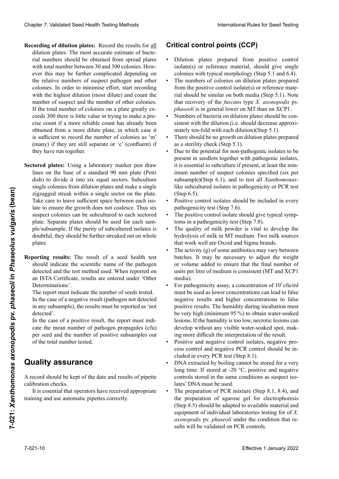- Recording of dilution plates: Record the results for all cording of dilution plates: Record the results for all<br>dilution plates. The most accurate estimate of bacterial numbers should be obtained from spread plates<br>with total number between 30 and 300 colonies. Howwith total number between 30 and 300 colonies. Howthe relative numbers of suspect pathogen and other<br>colonies. In order to minimise effort, start recording colonies. In order to minimise effort, start recording with the highest dilution (most dilute) and count the number of suspect and the number of other colonies. If the total number of colonies on a plate greatly ex-<br>ceeds 300 there is little value in trying to make a preceeds 300 there is little value in trying to make a prerung von Einzelkolonien der Verdünnungsplatten der Verdünnungsplatten erobtained from a more dilute plate, in which case it<br>is sufficient to record the number of colonies as 'm'. is sufficient to record the number of colonies as 'm' positive parameter in the multiplacas of the multiplacation of  $\mathcal{L}$  (configuration). but income de los aislamics subculturative during the matter platte, in which case in<br>is sufficient to record the number of colonies as 'm'<br>(many) if they are still separate or 'c' (confluent) if  $(\text{many})$  in they are strin separate of  $\epsilon$  (confident) in they have run together. colonias aislandas.<br>Bakterien die Kolonien in den Isolaten internetnien für jeden in den Isolaten für jeden für jeden für jeden fü Clearly 2. Validierte Europe (1. Januar 2022 von Saatgut International Prince Controll (COPINIS (COPINIS (COPINIS VALIDIERTE CONTROLL CONTROLL CONTROLL CONTROLL CONTROLL CONTROLL CONTROLL CONTROLL CONTROLL CONTROLL CONTRO rial numbers should be obtained from spread plates<br>with total number between 30 and 300 colonies. How-<br>ever this may be further complicated depending on Cheape 7 Validiants Seed Health Foring Mathols<br>
Recentric and the results of the Recentral Recentre of the results of the Recentre of the Recentre of the Recentre of the Recentre of the Recentre of the Recentre of the Rec served in such that the manner or colonies is a measurement of construction of the many) if they are still separate or 'c' (confluent) if writing of distributions. Recentls to the state for each for each point of points (CCP) points (CCP) and the analysis control points (CCP) and the state of the state of the state of the state of the state of the state of
- **Informer de Resultados:** El resultado de un análisis de un análisis de un análisis de un análisis de la resultado de la resultado de la resultado de la resultado de la resultado de la resultado de la resultado de la resul  $\frac{d}{dx}$  is defined to the sector control of the sectors. Subculture circle circle circle circle circle circle circle circle circle circle circle circle circle circle circle circle circle circle circle circle circle circ dish) to divide it mio six equal sectors. Subculture single colonies from dilution plates and make a single single colonies from dilution plates and make a single<br>zigzagged streak within a single sector on the plate. Take care to leave sufficient space between each isolate to ensure the growth does not coalesce. Thus six suspect colonies can be subcultured to each sectored plate. Separate plates should be used for each sample/subsample. If the purity of subcultured isolates is ple/subsample. If the purity of subcultured isolates is<br>doubtful, they should be further streaked out on whole en el caso de un resultado positivo, el informe de un resultado positivo, el informe de un resultado positivo, e **Linear praces:** Using a faboratory market pen draw<br>lines on the base of a standard 90 mm plate (Petri  $\frac{1}{2}$  interviewer of a standard 90 mm plate (Petri der Prüffeldericht muss die Anzahl untersuchter Samen untersuchter Samen untersuchter Samen untersuchter Samen untersuchter Samen untersuchter Samen untersuchter Samen untersuchter Samen untersuchter Samen untersuchter Sam **Sectored plates:** Using a laboratory marker pen draw dish) to divide it into six equal sectors. Subculture plates. Figure of the two-state within a single accord on the plate and set of the set of the set of the set of the set of the set of the set of the set of the set of the set of the set of the set of the set of the set of the set
	- Reporting results: The result of a seed health test should indicate the scientific name of the pathogen<br>detected and the test method used. When reported on Determinations'. detected and the test method used. When reported on an ISTA Certificate, results are entered under 'Other Determinations'.<br>The report must indicate the number of seeds tested.

In the case of a negative result (pathogen not detected in any subsample), the results must be reported as 'not detected'.

In the case of a positive result, the report must indicate the mean number of pathogen propagules (cfu) **Pullet control de control (PCC)** per seed and the number of positive subsamples out of the total number tested. Der der Komen sollte über ausreichende Erfahrung im der Erfahrung im der Erfahrung im der Erfahrung im der Erfahrung im der Erfahrung im der Erfahrung im der Erfahrung im der Erfahrung im der Erfahrung im der Erfahrung im  $\sum_{i=1}^{n}$  est est est est est explored  $\sum_{i=1}^{n}$ 

#### • Las placas de dilución preparadas a partir de los aislamientos de control positivo o material de referencias de referencias de referencias de referencias de referenci **Quality assurance**

 $\frac{1}{2}$  deben dar colonias individuales con una morfología  $\frac{1}{2}$  $\frac{1}{2}$   $\frac{1}{2}$ .  $\frac{1}{2}$  calibration checks. **Kritische Kontrollpunkte (KKP)** verdünnungsplatten, die von der Positivkontrolle oder Positivkontrolle oder Positivkontrolle oder Positivkontr<br>Positivkontrolle oder Positivkontrolle oder Positivkontrolle oder Positivkontrolle oder Positivkontrolle oder A record should be kept of the date and results of pipette calibration checks.

n is essentíal that operators have received appropriate It is essential that operators have received appropriate<br>training and use automatic pipettes correctly. It is essential that operators have received appropriate training and use automatic pipettes correctly.

# • El número de bacterias en las placas de las diluciones Zu beachten ist, dass das Wachstum des *fuscans*-Typs von *X. axonopodis* pv. *phaseoli* auf MT-Medium gene-**Critical control points (CCP)**

- Dilution plates prepared from positive control isolate(s) or reference material, should give single colonies with typical morphology (Step 5.1 and 6.4).
- The numbers of colonies on dilution plates prepared from the positive control isolate(s) or reference material should be similar on both media (Step 5.1). Note<br>that recovery of the fuscans type X axononodis by that recovery of the *fuscans* type *X. axonopodis* pv. *phaseoli* is in general lower on MT than on XCP1.<br>• Numbers of bacteria on dilution plates should be concolonies with typical morphology (Step 5.1 and 6.4).<br>The numbers of colonies on dilution plates prepared<br>from the positive control isolate(s) or reference mate-• The numbers of colonies on dilution plates prepared
- Numbers of bacteria on dilution plates should be consistent with the dilution (i.e. should decrease approxi-*Xanthomonas* en cada subcultivo de los entre en la persona en la persona en la persona mately ten-fold with each dilution)(Step 5.1).
- There should be no growth on dilution plates prepared as a sterility check (Step 5.1).
- Due to the potential for non-pathogenic isolates to be • Bue to the potential for non-pathogenic isolates to be present in séculois tógenici with pathogenic isolates, It is essential to subculture if present, at least the imm-<br>imum number of suspect colonies specified (six per finum number of suspect colonies specified (six per subsample)(Step 6.1), and to test all *Adminomonds*like subcultured isolates in pathogenicity or PCR test (Step 6.5).  $(Stop 6.5)$ . present in seedlots together with pathogène isolates, present in seculots togenier with pathogenic isolates,<br>it is essential to subculture if present, at least the min- $\frac{1}{2}$  must number of suspect colonies specified (six per subsample)(Step  $\sigma$ .1), and to test all  $t_{\text{H}}$  de pouvoir particle  $\epsilon$  dependence  $\epsilon$ subsample)(Step 6.1), and to test all *Xanthomonas*- $(Step 6.5).$
- Positive control isolates should be included in every pathogenicity test (Step 7.6). pathogenicity test (Step 7.6). • Positive control isolates should be included in every
- The positive control isolate should give typical symptoms in a pathogenicity test (Step 7.8). toms in a pathogenicity test (Step 7.8). • The positive control isolate should give typical symptoms in a pathogenicity test (Step 7.8).<br>• The quality of milk powder is vital to develop the
- hydrolysis of milk in MT medium. Two milk sources that work well are Oxoid and Sigma brands.
- The activity  $(g)$  of some antibiotics may vary between • The activity (g) of some antibiotics may vary between<br>batches. It may be necessary to adjust the weight or volume added to ensure that the final number of units per litre of medium is consistent (MT and XCP1 units per litre of medium is consistent (MT and XCP1 la humedia). Se demasiado baja, se pueden desarrollar es demasiado baja, se pueden de se pueden de serrellar e media).<br>For pathogenicity assay, a concentration of 10<sup>7</sup> cfu/ml batches. It may be necessary to adjust the weight<br>or volume added to ensure that the final number of<br>units per litre of medium is consistent (MT and XCP1<br>media). or volume added to ensure that the final number of
- must be used as lower concentrations can lead to false negative results and higher concentrations to false positive results. The humidity during incubation must be very high (minimum 95 %) to obtain water-soaked lesions. If the humidity is too low, necrotic lesions can<br>develop without any visible water-soaked spot, mak-<br>ing more difficult the interpretation of the result develop without any visible water-soaked spot, making more difficult the interpretation of the result.<br>Positive and peoptive control isolates, peoptive pre-• For pathogenicity assay, a concentration of  $10^7$  cfu/ml<br>must be used as lower concentrations can lead to false<br>negative results and higher concentrations to false<br>nositive results. The humidity during incubation must
- Positive and negative control isolates, negative pro-Fostave and negative control sources, negative process control and negative PCR control should be iness comor and negative Fere comor should be m<br>cluded in every PCR test (Step 8.1). • Positive and negative control isolates, negative pro-<br>cess control and negative PCR control should be in-<br>cluded in every PCR test (Step 8.1).<br>DNA extracted by boiling cannot be stored for a very
- $P(X)$  extracted by bothing cannot be stored for a very long time. If stored at -20  $^{\circ}$ C, positive and negative pong time. It stored at  $-20^\circ$  C, positive and negative como os storeu in the same conditions as suspect isorates  $PNA$  must be used.<br> $T = (2R)R + (2R)R + (2R)R + (2R)R + (2R)R + (2R)R + (2R)R + (2R)R + (2R)R + (2R)R + (2R)R + (2R)R + (2R)R + (2R)R + (2R)R + (2R)R + (2R)R + (2R)R + (2R)R + (2R)R + (2R)R + (2R)R + (2R)R + (2R)R + (2R)R + (2R)R + (2R)R + (2R)R + (2R)R + (2R)R + (2R)R + (2R)R + ($ lates' DNA must be used.<br>The preparation of PCR mixture (Step 8.1, 8.4), and controls stored in the same conditions as suspect iso-<br>lates' DNA must be used. lates' DNA must be used.
- the preparation of agarose gel for electrophoresis (Step 8.5) should be adapted to available material and equipment of individual laboratories testing for of *X*. *axonopodis* pv. *phaseoli* under the condition that results will be validated on PCR controls.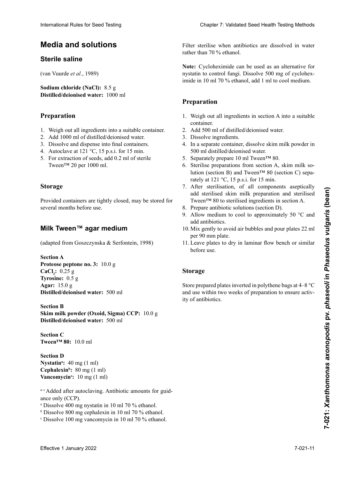# **Medios y soluciones Medien und Lösungen Milieux et solutions Media and solutions**

## **Sterile saline**

(Van Vuurde *et al*., 1989) (van Vuurde *et al.*, 1989) (van Vuurde *et al.*, 1989)

**Sodium chloride (NaCl):** 8.5 g **Distilled/deionised water:** 1000 ml

#### **Preparación Préparation Preparation** 1. Einwiegen aller Komponenten in ein geeignetes

- 1. Weigh out all ingredients into a suitable container.
- 2. Add 1000 ml of distilled/deionised water.
- 2. The roso in or ensured doomsel water.<br>3. Dissolve and dispense into final containers.
- 3. Bissorve and dispense mix mid conditions.<br>4. Autoclave at 121 °C, 15 p.s.i. for 15 min.
- $5.$  Para orte ativa de semillas, agregar 10,2 millares, agregar o semillas, agregar o semillas, agregar o semillas, agregar o semillares e un control de semillares e un control de semillares e un control de semillares e TVE CATACTERIL CATALOGUES, and 0.2 h  $\sigma$ . For extraction of secus, and 0.2 nm of sterile  $\frac{1}{20}$  Figure 1,000 ml sterilen 1,000 ml sterilen 1,000 ml sterilen 1,000 ml sterilen 1,000 ml sterilen 1,000 ml sterilen 1,000 ml sterilen 1,000 ml sterilen 1,000 ml sterilen 1,000 ml sterilen 1,000 ml sterilen 1,000 5. For extraction of seeds, add  $0.2$  ml of sterile Tween<sup>™</sup> 20 per 1000 ml.

#### **Almacenaje Stockage Storage**

Siempre que los recipientes estén herméticamente cerra-Provided containers are tightly closed, may be stored for several months before use. **Lagerung** Si des récipients sont bien fermés, la solution saline stérile Provided containers are tightly closed, may be stored for

#### Milk Tween™ agar medium **Milieu agar MT (Milk Tween™) Milk Tween™ agar medium**

(adapted from Goszczynska & Serfontein, 1998)

**Proteose peptone no. 3:** 10.0 g **Protectle Example 10,0 g Tyrosine:** 0.5 g **Tirosina:** 0,5 g **Tyrosin:** 0,5 g **Eau distillée/désionisée :** 500 ml **Agar:** 15.0 g Distilled/deionised water: 500 ml **Proteose peptone** n**o. 3 :** 10,0 g **Section A** International Rule International Rules for Seed Testing Chapter 2: Validated Seed Testing Chapter 7: Validated Seed Testing Chapter 7: Validated Seed Testing Chapter 7: Validated Seed Testing Chapter 2: Validated Seed Tes

**Distilled/deionised water:** 500 ml **Skim milk powder (Oxoid, Sigma) CCP:** 10.0 g **Latter (Oxonomia) Execution B** 

**Section C Abschnitt C Tween™ 80:** 10,0 ml **Tween™ 80:** 10.0 ml **Section D**

**Section D Nystatin<sup>a</sup>:** 40 mg (1 ml) **Cephalexin<sup>b</sup>:** 80 mg (1 ml) **Vancomycin<sup>c</sup>:** 10 mg (1 ml)

seulement (CCP). a-c Added after autoclaving. Antibiotic amounts for guidance only  $(CCP)$ .

- <sup>a</sup> Dissolve 400 mg nystatin in 10 ml 70 % ethanol.
- <sup>b</sup> Dissolve 800 mg cephalexin in 10 ml 70 % ethanol.
- $\textdegree$  Dissolve 100 mg vancomycin in 10 ml 70 % ethanol.

Filter sterilise when antibiotics are dissolved in water rather than 70 % ethanol. rather than 70 % ethanol.

Note: Cycloheximide can be used as an alternative for imide in 10 ml 70 % ethanol, add 1 ml to cool medium. nystatin to control fungi. Dissolve 500 mg of cyclohex-

#### **Disolver 800 mg de cefalexina en 10 million**  $\mathbf{1}$  $\mathbf{L}$ **Préparation Preparation**

- Esterilizar mediante filtración cuando los antibióticos se 1. Peser tous les ingrédients de la section A dans un réci-container. en von 10 mai in 10 mai in 10 mai 10 minutes en la container.<br>
2. Add 500 ml of distilled/deionised water. 1. Weigh out all ingredients in section A into a suitable
- 
- 2. Alia 500 ml d'aliance actomisée water.<br>3. Dissolve ingredients.
- 3. Dissouve ingredients.<br>4. La ciclomate container dissolve clum mills noveder in  $\frac{1}{200}$  and  $\frac{1}{2}$  in the separate container, dissolver skill limits powder in wenn die Antibiotika in Wasser statt in Wassert in Wassert in Wassert in Wassert 70-proximity in Wassert 70-proximity in the contract in the contract of the contract of the contract of the contract of the contract of the c  $\frac{1}{200}$  gelöst werden, dissolve skill link pow 3. Dissouve ingrédients.<br>4. In a separate container, dissolve skim milk powder in 4. Dans un récipient séparé dans le lait en poudre dans 500 ml distillée/désionised water.
- 500 m distince deformed water.<br>5. Separately prepare 10 ml Tween<sup>TM</sup> 80.
- gar 1 march 10 ml ale volton.<br>C<sub>o</sub> Cyclotti rately at  $121 \text{ °C}$ ,  $15 \text{ p.s.}$ i. for  $15 \text{ min}$ .  $\frac{1}{2}$  stems preparations from section A, skill fillik soo. Sterilise préparations from section A, skilli fillik so-<br>lution (section B) and Tween™ 80 (section C) sepa-5. Separatry prépare 10 ml i ween ∞ 80.<br>5. Sterilise preparations from section A, skim milk so-
- add sterilised skim milk preparation and sterilised Tween™ 80 to sterilised ingredients in section A. 7. After sterilisation, of all components aseptically
- 8. Prepare antibiotic solutions (section D).
- 9. Allow medium to cool to approximately 50 °C and add antibiotics.
- 10. Mix gently to avoid air bubbles and pour plates 22 ml per 90 mm plate.
- 11. Leave plates to dry in laminar flow bench or similar before use.

## 7. Después de la esterilización de todos los componen-6. Sterilisieren der hergestellten Lösung aus Abschnitt **Storage**

Store prepared plates inverted in polythene bags at 4–8 °C and use within two weeks of preparation to ensure activity of antibiotics. 9. Dejar enfriar el medio a aproximadamente 50 °C y polythène à 4–8 °C et utiliser dans un délai de 2 semaines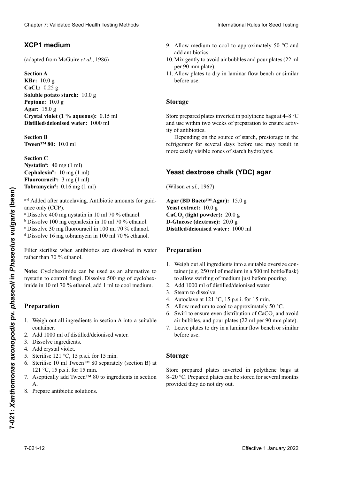## **Medio XCP1 XCP1-Medium Milieu XCP1 XCP1 medium**

(adapted from McGuire *et al.*, 1986)

### **Abschnitt A Section A Section A**

**Sección A KBr:** 10,0 g **KBr :** 10,0 g **KBr:** 10.0 g  $\text{CaCl}_2$ : 0.25 g **Soluble potato starch:** 10.0 g **Almidón soluble de papa:** 10,0 g **Pepton:** 10,0 g **Peptone:** 10,0 g **Peptone:** 10.0 g **Peptona:** 10,0 g **Agar:** 15,0 g **Agar :** 15,0 g **Agar:** 15.0 g **Crystal violet (1 % aqueous):** 0.15 ml **Cristal viele (soulat via 11 million):** 0,15 millionised water: 1000 ml **Agua destilada/desionizada:** 1000 ml Cheater 7. Validiated Seed Teachin Testics (1886)<br>
Scale Theodore crisis above the state of the state of the state of the state of the state of the state of the state of the state of the state of the state of the state of Chever 7 Voltaine See Theolline and was a chevel to each of each of the system and the system of each of the system of the control of the system of the system of the system of the system of the control of the system of th

**Second** B **Abschnitt B Section B Section B Tween™ 80:** 10,0 ml **Tween™ 80 :** 10,0 ml **Tween™ 80:** 10.0 ml

**Section C Cephalex**<br>T **Fluorouracil<sup>c</sup>:**  $3 \text{ mg (1 ml)}$ **Tobramycin<sup>d</sup>:** 0.16 mg (1 ml) **Nystatin<sup>a</sup>:** 40 mg (1 ml) **Cephale is the 10 mg** (1 mi) **Cephalexin<sup>-</sup>:** 10 mg (1 ml) **Cephalexine is 10 mg** (1 mi) **Cephalexin<sup>b</sup>:**  $10 \text{ mg} (1 \text{ ml})$ 

**Fluorouraciloc :** 3 mg (1 ml) <sup>a-a</sup> Added after autoclaving. An a–d Zugabe nach dem Autoklavieren. Mengen sind nur Added after autocl ance only (CCP). Ajouté après autoclavage. Quantités à titre indicatif seua<sup>-d</sup> Added after autoclaving. Antibiotic amounts for guid-

ance only (CCP).<br><sup>a</sup> Dissolve 400 mg nystatin in 10 ml 70 % ethanol.

- <sup>b</sup> Dissolve 100 mg cephalexin in 10 ml 70 % ethanol.
- <sup>b</sup> Dissolve 100 mg cephalexin in 10 ml 70 % ethanol.<br><sup>c</sup> Dissolve 30 mg fluorouracil in 100 ml 70 % ethanol.

<sup>d</sup> Dissolve 16 mg tobramycin in 100 ml 70 % ethanol.

Filter sterilise when antibiotics are dissolved in water rather than 70 % ethanol. ather tha

Note: Cycloheximide can be used as an alternative to nystatin to control fungi. Dissolve 500 mg of cycloheximide in 10 ml 70 % ethanol, add 1 ml to cool medium.

#### 500 mg de cicloheximida en 10 ml de etanol 70 % y agre-**Preparation** a 1 marca 1 marca 1 marca 1 marca 1 marca 1 marca 1 marca 1 marca 1 marca 1 marca 1 marca 1 marca 1 marca 1 ma tatin zur Unterdrückung des Pilzwachstums verwendet werden. Lösen von 500 mg Cycloheximid in 10 ml 70-prozentigen Ethanol. Zugabe von 1 ml je Liter Medium. à la place de la nystatine pour contrôler les champignons. Dissoundre 500 mg de cycloheximide dans 10 ml d'ét<br>Dissou recontrôler les champignons 10 ml d'éthanol de cycloheximide dans 10 ml d'éthanol de cycloheximide dans  $\mathbf{r}$

- 1. Weigh out all ingredients in section A into a suitable container.
- 2. Add 1000 ml of distilled/deionised water.
- 3. Dissolve ingredients.
- 1. Beserve ingrédients.<br>4. Add crystal violet.
- 5. Sterilise  $121 \degree C$ , 15 p.s.i. for 15 min.
- 6. Sterilise 121 °C, 12 p.s.i. for 13 mln.<br>6. Sterilise 10 ml Tween™ 80 separately (section B) at  $121 \degree C$ , 15 p.s.i. for 15 min.
- $\frac{121}{7}$ ,  $\frac{1}{4}$ ,  $\frac{1}{4}$ ,  $\frac{11}{4}$ ,  $\frac{11}{4}$  $\sum_{i=1}^{n}$  Estephicarry and Tween<sup>-15</sup> 80 to ingredient.  $\mathbf{A}$ . Estimates  $\mathbf{A}$  and  $\mathbf{B}$  por separado (secondar do sección de Tween $\mathbf{A}$  $\frac{121}{5}$ ,  $\frac{1}{2}$ ,  $\frac{1}{2}$ ,  $\frac{1}{2}$ ,  $\frac{1}{2}$ ,  $\frac{1}{2}$ ,  $\frac{1}{2}$  $\frac{1}{4}$ . Aseptically and Tween<sup>-22</sup>  $\overline{A}$ .  $\overline{B}$  is the 121 p.s. in fund 121 p.s.i. für 15 min. für 15 min. für 15 min. für 15 min. für 15 min. für 15 min. für 15 min. für 15 min. für 15 min. für 15 min. für 15 min. für 15 min. für 15 min. für 15 min.  $\frac{121}{7}$ ,  $\frac{1}{11}$ ,  $\frac{11}{11}$ 7. Aseptically add Tween™ 80 to ingredients in section  $\mathbf{A}$ . Stériliser 10 ml de Tween $\mathbf{S}$ A.
- Prepare antibiotic solutions. 8. Prepare anubiouc solutions. 8. Prepare antibiotic solutions.
- 9. Allow medium to cool to approximately 50 °C and add antibiotics.
- 10. Mix gently to avoid air bubbles and pour plates (22 ml per 90 mm plate).
- 11. Allow plates to dry in laminar flow bench or similar before use.

#### $S$ forage bolsas de polietileno a 4–8 °C y usar dentro de las dos **Lagerung Storage**

Store prepared plates inverted in polythene hags at  $4-8$  °C. and use within two weeks of preparation to ensure activand also whalif we were separated to ensure all the version of  $P$ . Store prepared plates inverted in polythene bags at  $4-8$  °C<br>and use within two weeks of preparation to ensure activ-

Lepending on the source of starch, prestorage in the Bepending on the source of surveit, presentage in the fácilmente. In Abhängig von der Stärkeheit von der Stärkeher und der Stärkeher von der Stärkeherkunft auf der more easily visible zones of starch hydrolysis. ity of antibiotics.<br>Depending on the source of starch, prestorage in the<br>refrigerator for several days before use may result in

# **Agar yeast dextrose chalk (YDC) Yeast dextrose chalk (YDC) agar**

(Wilson *et al*., 1967) **Hefe-Dextrose-Kalk-Agar-Medium**   $(mison'el, u.$ *al.*, (Wilson *et al.*, 1967)

**Agar (BD Bacto™ Agar):** 15,0 g **Example 10 Bacto<sup>r</sup><sup>M</sup> Agar):** 1: **Yeast extract:** 10.0 g<br>**C**<sub>2</sub> **CO**<sub>3</sub>*C***<sub>1</sub><b>1111200 CaCO<sub>3</sub>** (light powder): 20.0 g **D-Glucose (dextrose):** 20.0 g **Distilled/deionised water:** 1000 ml **BD Bacto™ Agar :** 15,0 g **Agar (BD Bacto™ Agar):** 15.0 g **Effective 1 Contained the control in the control in the control in the control of the control of the control of the control of the control of the control of the control of the control of the control of the control of t** 

## **Preparation**

- 1. Weigh out all ingredients into a suitable oversize container (e.g. 250 ml of medium in a 500 ml bottle/flask) to allow swirling of medium just before pouring.
- 2. Add 1000 ml of distilled/deionised water.
- 3. Steam to dissolve.
- 4. Autoclave at 121 °C, 15 p.s.i. for 15 min.
- 5. Allow medium to cool to approximately 50 °C.
- 6. Swirl to ensure even distribution of CaCO<sub>3</sub> and avoid air bubbles, and pour plates (22 ml per 90 mm plate).
- 7. Leave plates to dry in a laminar flow bench or similar  $\frac{1}{2}$  before use.

#### $\mathbf{u}_{\mathbf{g}}$  $\log$ Storage

Store prepared plates inverted in polythene bags at  $\sigma$ - $\sigma$   $\sigma$ . I repared plates can be stored for several months provided they do not dry out. store préparée praies inverteur in porymene vags at 8–20 °C. Prepared plates can be stored for several months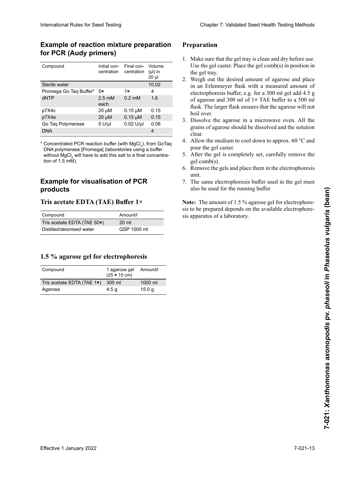## **Example of reaction mixture preparation la reacción de PCR (primers Audy) die PCR (Audy-Primer) réaction PCR (amorces Audy) for PCR (Audy primers)**

| for PCR (Audy primers)                                                                                                                                                                                                                                                                                                                                             |                                                                                                                 |                                                                                                             | <b>Example of reaction mixture preparation</b>                                       |
|--------------------------------------------------------------------------------------------------------------------------------------------------------------------------------------------------------------------------------------------------------------------------------------------------------------------------------------------------------------------|-----------------------------------------------------------------------------------------------------------------|-------------------------------------------------------------------------------------------------------------|--------------------------------------------------------------------------------------|
| Compound<br>Sterile water<br>Promega Go Taq Buffer*<br>dNTP<br>p7X4c<br>p7X4e<br>Go Taq Polymerase<br><b>DNA</b><br>* Concentrated PCR reaction buffer (with MgCl <sub>2</sub> ), from GoTaq<br>DNA polymerase [Promega] (laboratories using a buffer<br>without MgCl <sub>2</sub> will have to add this salt to a final concentra-<br>tion of $1.5 \text{ mM}$ ). | Initial con-<br>centration<br>5x<br>$2.5 \text{ }\mathrm{m}$ M<br>each<br>20 µM<br>$20 \mu M$<br>$5$ U/ $\mu$ I | Final con-<br>centration<br>1x<br>$0.2 \text{ }\mathrm{m}$ M<br>$0.15 \mu M$<br>$0.15 \mu M$<br>$0.02$ U/µl | Volume<br>$(\mu I)$ in<br>$20 \mu$<br>10.02<br>4<br>1.6<br>0.15<br>0.15<br>0.08<br>4 |
| <b>Example for visualisation of PCR</b><br>products<br>Tris acetate EDTA (TAE) Buffer 1×                                                                                                                                                                                                                                                                           |                                                                                                                 |                                                                                                             |                                                                                      |
| Compound                                                                                                                                                                                                                                                                                                                                                           |                                                                                                                 | Amount/l                                                                                                    |                                                                                      |
| Tris acetate EDTA (TAE 50x)                                                                                                                                                                                                                                                                                                                                        |                                                                                                                 | 20 ml                                                                                                       |                                                                                      |
|                                                                                                                                                                                                                                                                                                                                                                    |                                                                                                                 |                                                                                                             |                                                                                      |
| 1.5 % agarose gel for electrophoresis<br>Compound                                                                                                                                                                                                                                                                                                                  | 1 agarose gel<br>$(25 \times 15 \text{ cm})$                                                                    |                                                                                                             | Amount/l                                                                             |
| Tris acetate EDTA (TAE 1x)<br>Agarose                                                                                                                                                                                                                                                                                                                              | 300 ml<br>4.5 <sub>g</sub>                                                                                      |                                                                                                             | 1000 ml<br>15.0 <sub>g</sub>                                                         |
|                                                                                                                                                                                                                                                                                                                                                                    |                                                                                                                 |                                                                                                             |                                                                                      |

## **Ejemplo para visualización de productos Beispiel für die Visualisierung der Exemple de visualisation des produits Example for visualisation of PCR de PCR PCR-Produkte products**

## **Tris acetate EDTA (TAE) Buffer 1×**

| Compound                    | Amount/l         |
|-----------------------------|------------------|
| Tris acetate EDTA (TAE 50x) | $20 \mathrm{ml}$ |
| Distilled/deionised water   | QSP 1000 ml      |

### **Gel de agarosa 1,5 % para electroforesis d'agarose à 1,5 % pour l'électrophorèse 1.5 % agarose gel for electrophoresis**

| Compound                   | 1 agarose gel<br>$(25 \times 15 \text{ cm})$ | Amount/l          |
|----------------------------|----------------------------------------------|-------------------|
| Tris acetate EDTA (TAE 1x) | 300 ml                                       | $1000$ ml         |
| Agarose                    | 4.5 g                                        | 15.0 <sub>q</sub> |

#### **Preparación Préparation PreparationElektrophorese**

- 1. Make sure that the gel tray is clean and dry before use. Use the gel caster. Place the gel comb(s) in position in the gel tray.  $\blacksquare$ 1. Make sure that the gel tray is clean and dry before use. Use the gel caster. Place the gel comb(s) in position in the gel tray.
- 2. Weigh out the desired amount of agarose and place in an Erlenmeyer flask with a measured amount of electrophoresis buffer, e.g. for a 300 ml gel add 4.5 g of agarose and 300 ml of 1× TAE buffer to a 500 ml flask. The larger flask ensures that the agarose will not boil over.
- 3. Dissolve the agarose in a microwave oven. All the grains of agarose should be dissolved and the solution clear. nutzung sauber und trocken ist. Die Benutzung eines eines eines eines eines eines eines eines eines eines eines 3. Dissolve the agarose in a microwave oven. All the grains of agarose should be dissolved and the solution clear.<br>4. Allow the medium to cool down to approx. 60  $\degree$ C and pour the gel caster.
- 4. Allow the medium to cool down to approx. 60 °C and pour the gel caster. pour the gel caster.
- 5. After the gel is completely set, carefully remove the gel comb(s).
- 6. Remove the gels and place them in the electrophoresis  $\frac{1}{2}$  unit. den 4,5 g Agarose und 300 ml 1 x TaE-Puffer in einen 1 x TaE-Puffer in einen 1 x TaE-Puffer in einen 1 x TaE- $2.5$  unit. unit.
- 7. The same electrophoresis buffer used in the gel must also be used for the running buffer. also be used for the running buffer.